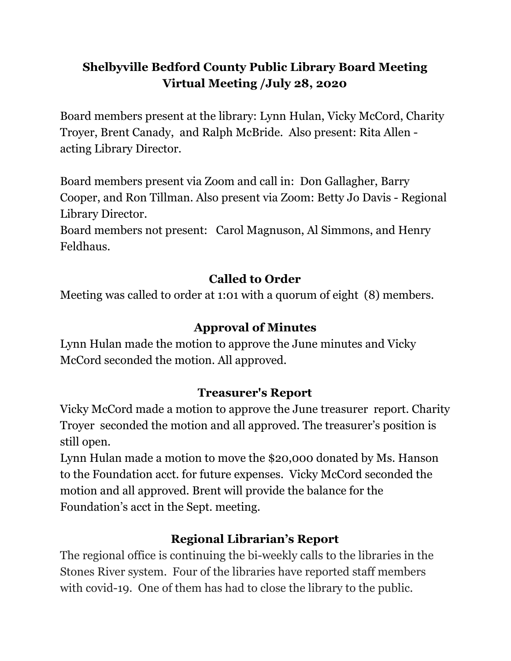## **Shelbyville Bedford County Public Library Board Meeting Virtual Meeting /July 28, 2020**

Board members present at the library: Lynn Hulan, Vicky McCord, Charity Troyer, Brent Canady, and Ralph McBride. Also present: Rita Allen acting Library Director.

Board members present via Zoom and call in: Don Gallagher, Barry Cooper, and Ron Tillman. Also present via Zoom: Betty Jo Davis - Regional Library Director.

Board members not present: Carol Magnuson, Al Simmons, and Henry Feldhaus.

# **Called to Order**

Meeting was called to order at 1:01 with a quorum of eight (8) members.

# **Approval of Minutes**

Lynn Hulan made the motion to approve the June minutes and Vicky McCord seconded the motion. All approved.

## **Treasurer's Report**

Vicky McCord made a motion to approve the June treasurer report. Charity Troyer seconded the motion and all approved. The treasurer's position is still open.

Lynn Hulan made a motion to move the \$20,000 donated by Ms. Hanson to the Foundation acct. for future expenses. Vicky McCord seconded the motion and all approved. Brent will provide the balance for the Foundation's acct in the Sept. meeting.

# **Regional Librarian's Report**

The regional office is continuing the bi-weekly calls to the libraries in the Stones River system. Four of the libraries have reported staff members with covid-19. One of them has had to close the library to the public.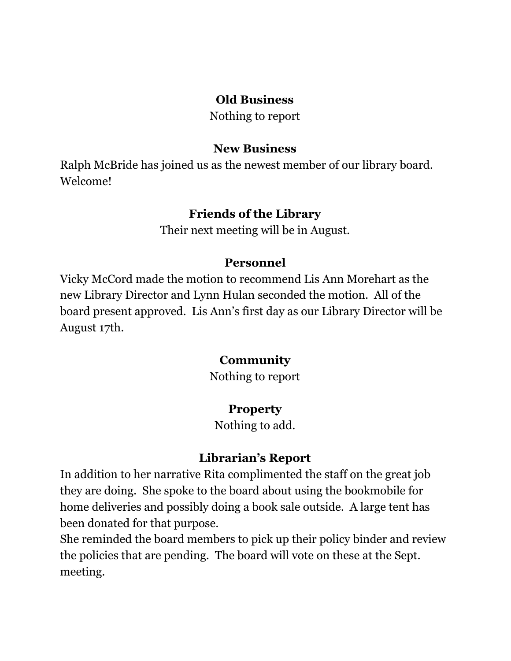#### **Old Business**

Nothing to report

#### **New Business**

Ralph McBride has joined us as the newest member of our library board. Welcome!

#### **Friends of the Library**

Their next meeting will be in August.

#### **Personnel**

Vicky McCord made the motion to recommend Lis Ann Morehart as the new Library Director and Lynn Hulan seconded the motion. All of the board present approved. Lis Ann's first day as our Library Director will be August 17th.

#### **Community**

Nothing to report

## **Property**

Nothing to add.

## **Librarian's Report**

In addition to her narrative Rita complimented the staff on the great job they are doing. She spoke to the board about using the bookmobile for home deliveries and possibly doing a book sale outside. A large tent has been donated for that purpose.

She reminded the board members to pick up their policy binder and review the policies that are pending. The board will vote on these at the Sept. meeting.